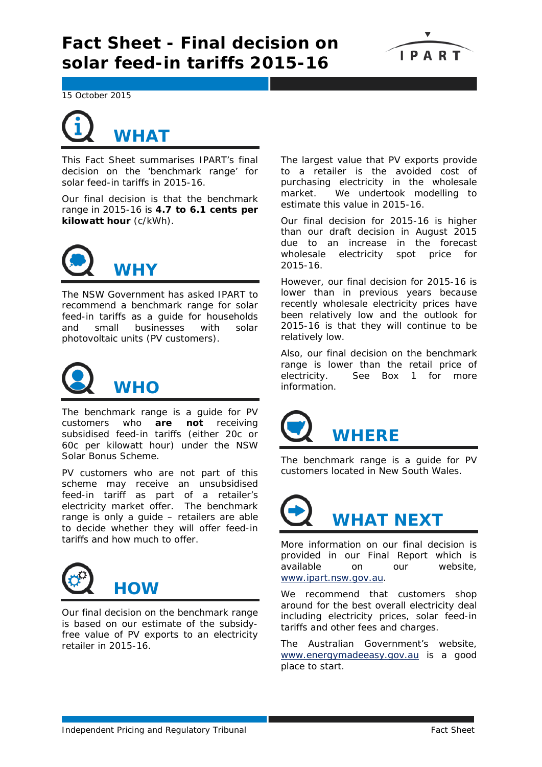

15 October 2015

## **WHAT**

This Fact Sheet summarises IPART's final decision on the 'benchmark range' for solar feed-in tariffs in 2015-16.

Our final decision is that the benchmark range in 2015-16 is **4.7 to 6.1 cents per kilowatt hour** (c/kWh).



The NSW Government has asked IPART to recommend a benchmark range for solar feed-in tariffs as a guide for households and small businesses with solar photovoltaic units (PV customers).



The benchmark range is a guide for PV customers who **are not** receiving subsidised feed-in tariffs (either 20c or 60c per kilowatt hour) under the NSW Solar Bonus Scheme.

PV customers who are not part of this scheme may receive an unsubsidised feed-in tariff as part of a retailer's electricity market offer. The benchmark range is only a guide – retailers are able to decide whether they will offer feed-in tariffs and how much to offer.



Our final decision on the benchmark range is based on our estimate of the subsidyfree value of PV exports to an electricity retailer in 2015-16.

The largest value that PV exports provide to a retailer is the avoided cost of purchasing electricity in the wholesale market. We undertook modelling to estimate this value in 2015-16.

Our final decision for 2015-16 is higher than our draft decision in August 2015 due to an increase in the forecast wholesale electricity spot price for 2015-16.

However, our final decision for 2015-16 is lower than in previous years because recently wholesale electricity prices have been relatively low and the outlook for 2015-16 is that they will continue to be relatively low.

Also, our final decision on the benchmark range is lower than the retail price of electricity. See Box 1 for more information.



The benchmark range is a guide for PV customers located in New South Wales.



More information on our final decision is provided in our Final Report which is available on our website, [www.ipart.nsw.gov.au.](http://www.ipart.nsw.gov.au/)

We recommend that customers shop around for the best overall electricity deal including electricity prices, solar feed-in tariffs and other fees and charges.

The Australian Government's website, [www.energymadeeasy.gov.au](http://www.energymadeeasy.gov.au/) is a good place to start.